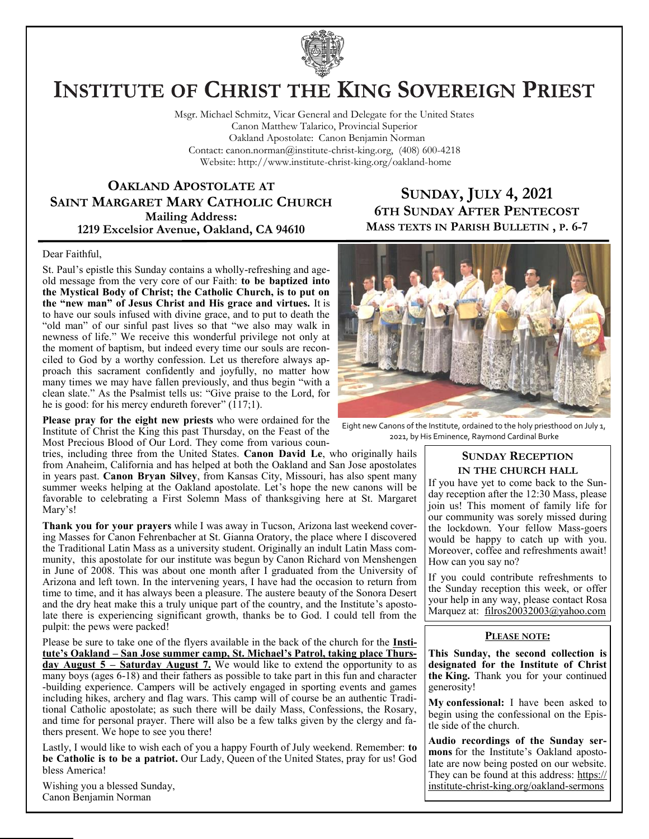

# **INSTITUTE OF CHRIST THE KING SOVEREIGN PRIEST**

Msgr. Michael Schmitz, Vicar General and Delegate for the United States Canon Matthew Talarico, Provincial Superior Oakland Apostolate: Canon Benjamin Norman Contact: canon.norman@institute-christ-king.org, (408) 600-4218 Website: http://www.institute-christ-king.org/oakland-home

**OAKLAND APOSTOLATE AT SAINT MARGARET MARY CATHOLIC CHURCH Mailing Address: 1219 Excelsior Avenue, Oakland, CA 94610**

### **SUNDAY, JULY 4, 2021 6TH SUNDAY AFTER PENTECOST MASS TEXTS IN PARISH BULLETIN , P. 6-7**

#### Dear Faithful,

St. Paul's epistle this Sunday contains a wholly-refreshing and ageold message from the very core of our Faith: **to be baptized into the Mystical Body of Christ; the Catholic Church, is to put on the "new man" of Jesus Christ and His grace and virtues.** It is to have our souls infused with divine grace, and to put to death the "old man" of our sinful past lives so that "we also may walk in newness of life." We receive this wonderful privilege not only at the moment of baptism, but indeed every time our souls are reconciled to God by a worthy confession. Let us therefore always approach this sacrament confidently and joyfully, no matter how many times we may have fallen previously, and thus begin "with a clean slate." As the Psalmist tells us: "Give praise to the Lord, for he is good: for his mercy endureth forever" (117;1).

**Please pray for the eight new priests** who were ordained for the Institute of Christ the King this past Thursday, on the Feast of the Most Precious Blood of Our Lord. They come from various coun-

tries, including three from the United States. **Canon David Le**, who originally hails from Anaheim, California and has helped at both the Oakland and San Jose apostolates in years past. **Canon Bryan Silvey**, from Kansas City, Missouri, has also spent many summer weeks helping at the Oakland apostolate. Let's hope the new canons will be favorable to celebrating a First Solemn Mass of thanksgiving here at St. Margaret Mary's!

**Thank you for your prayers** while I was away in Tucson, Arizona last weekend covering Masses for Canon Fehrenbacher at St. Gianna Oratory, the place where I discovered the Traditional Latin Mass as a university student. Originally an indult Latin Mass community, this apostolate for our institute was begun by Canon Richard von Menshengen in June of 2008. This was about one month after I graduated from the University of Arizona and left town. In the intervening years, I have had the occasion to return from time to time, and it has always been a pleasure. The austere beauty of the Sonora Desert and the dry heat make this a truly unique part of the country, and the Institute's apostolate there is experiencing significant growth, thanks be to God. I could tell from the pulpit: the pews were packed!

Please be sure to take one of the flyers available in the back of the church for the **Institute's Oakland – San Jose summer camp, St. Michael's Patrol, taking place Thursday August 5 – Saturday August 7.** We would like to extend the opportunity to as many boys (ages 6-18) and their fathers as possible to take part in this fun and character -building experience. Campers will be actively engaged in sporting events and games including hikes, archery and flag wars. This camp will of course be an authentic Traditional Catholic apostolate; as such there will be daily Mass, Confessions, the Rosary, and time for personal prayer. There will also be a few talks given by the clergy and fathers present. We hope to see you there!

Lastly, I would like to wish each of you a happy Fourth of July weekend. Remember: **to be Catholic is to be a patriot.** Our Lady, Queen of the United States, pray for us! God bless America!

Wishing you a blessed Sunday, Canon Benjamin Norman



Eight new Canons of the Institute, ordained to the holy priesthood on July 1, 2021, by His Eminence, Raymond Cardinal Burke

#### **SUNDAY RECEPTION IN THE CHURCH HALL**

If you have yet to come back to the Sunday reception after the 12:30 Mass, please join us! This moment of family life for our community was sorely missed during the lockdown. Your fellow Mass-goers would be happy to catch up with you. Moreover, coffee and refreshments await! How can you say no?

If you could contribute refreshments to the Sunday reception this week, or offer your help in any way, please contact Rosa Marquez at: filros20032003@yahoo.com

#### **PLEASE NOTE:**

**This Sunday, the second collection is designated for the Institute of Christ the King.** Thank you for your continued generosity!

**My confessional:** I have been asked to begin using the confessional on the Epistle side of the church.

**Audio recordings of the Sunday sermons** for the Institute's Oakland apostolate are now being posted on our website. They can be found at this address: [https://](https://institute-christ-king.org/oakland-sermons) [institute-christ-king.org/oakland-sermons](https://institute-christ-king.org/oakland-sermons)